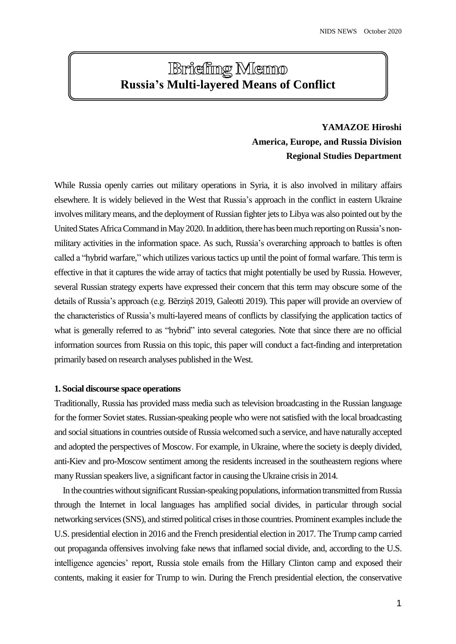# **Briefing Memo Russia's Multi-layered Means of Conflict**

# **YAMAZOE Hiroshi America, Europe, and Russia Division Regional Studies Department**

While Russia openly carries out military operations in Syria, it is also involved in military affairs elsewhere. It is widely believed in the West that Russia's approach in the conflict in eastern Ukraine involves military means, and the deployment of Russian fighter jets to Libya was also pointed out by the United States Africa Command in May 2020. In addition, there has been much reporting on Russia's nonmilitary activities in the information space. As such, Russia's overarching approach to battles is often called a "hybrid warfare," which utilizes various tactics up until the point of formal warfare. This term is effective in that it captures the wide array of tactics that might potentially be used by Russia. However, several Russian strategy experts have expressed their concern that this term may obscure some of the details of Russia's approach (e.g. Bērziņš 2019, Galeotti 2019). This paper will provide an overview of the characteristics of Russia's multi-layered means of conflicts by classifying the application tactics of what is generally referred to as "hybrid" into several categories. Note that since there are no official information sources from Russia on this topic, this paper will conduct a fact-finding and interpretation primarily based on research analyses published in the West.

# **1. Social discourse space operations**

Traditionally, Russia has provided mass media such as television broadcasting in the Russian language for the former Soviet states. Russian-speaking people who were not satisfied with the local broadcasting and social situations in countries outside of Russia welcomed such a service, and have naturally accepted and adopted the perspectives of Moscow. For example, in Ukraine, where the society is deeply divided, anti-Kiev and pro-Moscow sentiment among the residents increased in the southeastern regions where many Russian speakers live, a significant factor in causing the Ukraine crisis in 2014.

In the countries without significant Russian-speaking populations, information transmitted from Russia through the Internet in local languages has amplified social divides, in particular through social networking services (SNS), and stirred political crisesin those countries. Prominent examples include the U.S. presidential election in 2016 and the French presidential election in 2017. The Trump camp carried out propaganda offensives involving fake news that inflamed social divide, and, according to the U.S. intelligence agencies' report, Russia stole emails from the Hillary Clinton camp and exposed their contents, making it easier for Trump to win. During the French presidential election, the conservative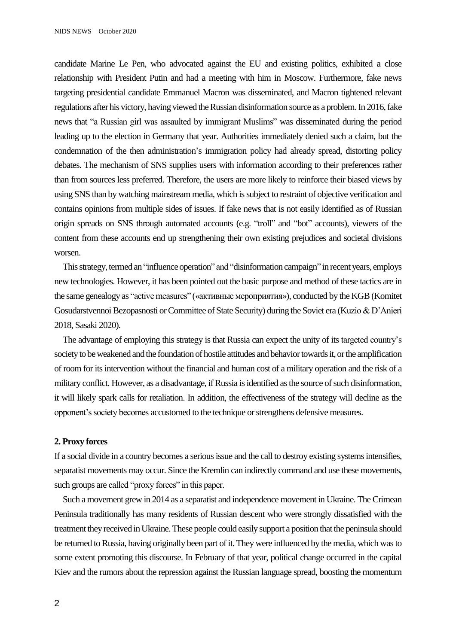candidate Marine Le Pen, who advocated against the EU and existing politics, exhibited a close relationship with President Putin and had a meeting with him in Moscow. Furthermore, fake news targeting presidential candidate Emmanuel Macron was disseminated, and Macron tightened relevant regulations after his victory, having viewed the Russian disinformation source as a problem.In 2016, fake news that "a Russian girl was assaulted by immigrant Muslims" was disseminated during the period leading up to the election in Germany that year. Authorities immediately denied such a claim, but the condemnation of the then administration's immigration policy had already spread, distorting policy debates. The mechanism of SNS supplies users with information according to their preferences rather than from sources less preferred. Therefore, the users are more likely to reinforce their biased views by using SNS than by watching mainstream media, which issubject to restraint of objective verification and contains opinions from multiple sides of issues. If fake news that is not easily identified as of Russian origin spreads on SNS through automated accounts (e.g. "troll" and "bot" accounts), viewers of the content from these accounts end up strengthening their own existing prejudices and societal divisions worsen.

This strategy, termed an "influence operation" and "disinformation campaign" in recent years, employs new technologies. However, it has been pointed out the basic purpose and method of these tactics are in the same genealogy as "active measures" («активные мероприятия»), conducted by the KGB (Komitet Gosudarstvennoi Bezopasnosti or Committee of State Security) during the Soviet era (Kuzio & D'Anieri 2018, Sasaki 2020).

The advantage of employing this strategy is that Russia can expect the unity of its targeted country's societyto be weakened and the foundation of hostile attitudes and behavior towards it, orthe amplification of room for its intervention without the financial and human cost of a military operation and the risk of a military conflict. However, as a disadvantage, if Russia is identified as the source of such disinformation, it will likely spark calls for retaliation. In addition, the effectiveness of the strategy will decline as the opponent's society becomes accustomed to the technique or strengthens defensive measures.

#### **2. Proxy forces**

If a social divide in a country becomes a serious issue and the call to destroy existing systems intensifies, separatist movements may occur. Since the Kremlin can indirectly command and use these movements, such groups are called "proxy forces" in this paper.

Such a movement grew in 2014 as a separatist and independence movement in Ukraine. The Crimean Peninsula traditionally has many residents of Russian descent who were strongly dissatisfied with the treatment they received in Ukraine. These people could easily support a position that the peninsula should be returned to Russia, having originally been part of it. They were influenced by the media, which was to some extent promoting this discourse. In February of that year, political change occurred in the capital Kiev and the rumors about the repression against the Russian language spread, boosting the momentum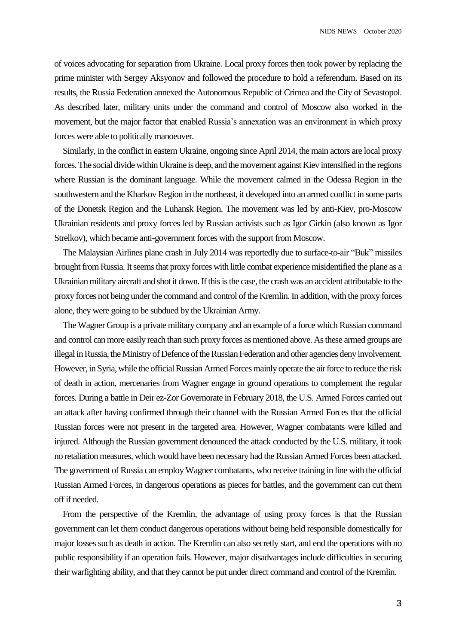of voices advocating for separation from Ukraine. Local proxy forces then took power by replacing the prime minister with Sergey Aksyonov and followed the procedure to hold a referendum. Based on its results, the Russia Federation annexed the Autonomous Republic of Crimea and the City of Sevastopol. As described later, military units under the command and control of Moscow also worked in the movement, but the major factor that enabled Russia's annexation was an environment in which proxy forces were able to politically manoeuver.

Similarly, in the conflict in eastern Ukraine, ongoing since April 2014, the main actors are local proxy forces. The social divide within Ukraine is deep, and the movement against Kiev intensified in the regions where Russian is the dominant language. While the movement calmed in the Odessa Region in the southwestern and the Kharkov Region in the northeast, it developed into an armed conflict in some parts of the Donetsk Region and the Luhansk Region. The movement was led by anti-Kiev, pro-Moscow Ukrainian residents and proxy forces led by Russian activists such as Igor Girkin (also known as Igor Strelkov), which became anti-government forces with the support from Moscow.

The Malaysian Airlines plane crash in July 2014 was reportedly due to surface-to-air "Buk" missiles brought from Russia. It seems that proxy forces with little combat experience misidentified the plane as a Ukrainian military aircraft and shot it down.If this is the case, the crash was an accident attributable to the proxy forces not being under the command and control of the Kremlin. In addition, with the proxy forces alone, they were going to be subdued by the Ukrainian Army.

The Wagner Group is a private military company and an example of a force which Russian command and control can more easily reach than such proxy forces as mentioned above. As these armed groups are illegal in Russia, the Ministry of Defence of the Russian Federation and other agencies deny involvement. However, in Syria, while the official Russian Armed Forces mainly operate the air force to reduce the risk of death in action, mercenaries from Wagner engage in ground operations to complement the regular forces. During a battle in Deir ez-Zor Governorate in February 2018, the U.S. Armed Forces carried out an attack after having confirmed through their channel with the Russian Armed Forces that the official Russian forces were not present in the targeted area. However, Wagner combatants were killed and injured. Although the Russian government denounced the attack conducted by the U.S. military, it took no retaliation measures, which would have been necessary had the Russian Armed Forces been attacked. The government of Russia can employ Wagner combatants, who receive training in line with the official Russian Armed Forces, in dangerous operations as pieces for battles, and the government can cut them off if needed.

From the perspective of the Kremlin, the advantage of using proxy forces is that the Russian government can let them conduct dangerous operations without being held responsible domestically for major losses such as death in action. The Kremlin can also secretly start, and end the operations with no public responsibility if an operation fails. However, major disadvantages include difficulties in securing their warfighting ability, and that they cannot be put under direct command and control of the Kremlin.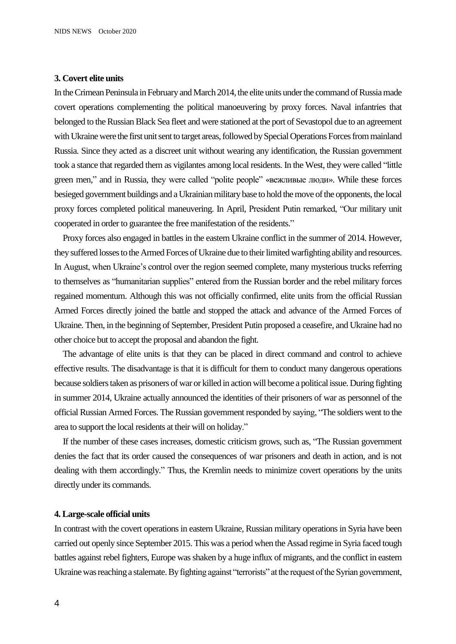#### **3. Covert elite units**

In the Crimean Peninsula inFebruary and March 2014, the elite units under the command of Russia made covert operations complementing the political manoeuvering by proxy forces. Naval infantries that belonged to the Russian Black Sea fleet and were stationed at the port of Sevastopol due to an agreement with Ukraine were the first unit sent to target areas, followed by Special Operations Forces from mainland Russia. Since they acted as a discreet unit without wearing any identification, the Russian government took a stance that regarded them as vigilantes among local residents. In the West, they were called "little green men," and in Russia, they were called "polite people" «вежливые люди». While these forces besieged government buildings and a Ukrainian military base to hold the move of the opponents, the local proxy forces completed political maneuvering. In April, President Putin remarked, "Our military unit cooperated in order to guarantee the free manifestation of the residents."

Proxy forces also engaged in battles in the eastern Ukraine conflict in the summer of 2014. However, they suffered losses to the Armed Forces of Ukraine due to their limited warfighting ability and resources. In August, when Ukraine's control over the region seemed complete, many mysterious trucks referring to themselves as "humanitarian supplies" entered from the Russian border and the rebel military forces regained momentum. Although this was not officially confirmed, elite units from the official Russian Armed Forces directly joined the battle and stopped the attack and advance of the Armed Forces of Ukraine. Then, in the beginning of September, President Putin proposed a ceasefire, and Ukraine had no other choice but to accept the proposal and abandon the fight.

The advantage of elite units is that they can be placed in direct command and control to achieve effective results. The disadvantage is that it is difficult for them to conduct many dangerous operations because soldiers taken as prisoners of war or killed in action will become a political issue. During fighting in summer 2014, Ukraine actually announced the identities of their prisoners of war as personnel of the official Russian Armed Forces. The Russian government responded by saying, "The soldiers went to the area to support the local residents at their will on holiday."

 If the number of these cases increases, domestic criticism grows, such as, "The Russian government denies the fact that its order caused the consequences of war prisoners and death in action, and is not dealing with them accordingly." Thus, the Kremlin needs to minimize covert operations by the units directly under its commands.

## **4. Large-scale official units**

In contrast with the covert operationsin eastern Ukraine, Russian military operations in Syria have been carried out openly since September 2015. This was a period when the Assad regime in Syria faced tough battles against rebel fighters, Europe was shaken by a huge influx of migrants, and the conflict in eastern Ukraine was reaching a stalemate. By fighting against "terrorists" at the request of the Syrian government,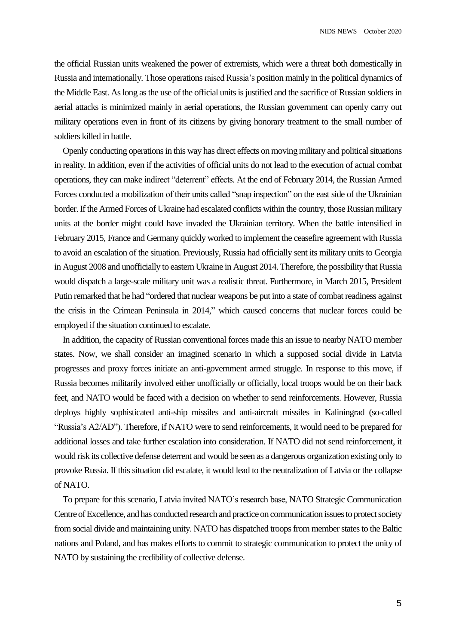the official Russian units weakened the power of extremists, which were a threat both domestically in Russia and internationally. Those operationsraised Russia's position mainly in the political dynamics of the Middle East. As long as the use of the official unitsis justified and the sacrifice of Russian soldiers in aerial attacks is minimized mainly in aerial operations, the Russian government can openly carry out military operations even in front of its citizens by giving honorary treatment to the small number of soldiers killed in battle.

Openly conducting operations in this way has direct effects on moving military and political situations in reality. In addition, even if the activities of official units do not lead to the execution of actual combat operations, they can make indirect "deterrent" effects. At the end of February 2014, the Russian Armed Forces conducted a mobilization of their units called "snap inspection" on the east side of the Ukrainian border. If the Armed Forces of Ukraine had escalated conflicts within the country, those Russian military units at the border might could have invaded the Ukrainian territory. When the battle intensified in February 2015, France and Germany quickly worked to implement the ceasefire agreement with Russia to avoid an escalation of the situation. Previously, Russia had officially sent its military units to Georgia in August 2008 and unofficially to eastern Ukraine in August 2014. Therefore, the possibility that Russia would dispatch a large-scale military unit was a realistic threat. Furthermore, in March 2015, President Putin remarked that he had "ordered that nuclear weapons be put into a state of combat readiness against the crisis in the Crimean Peninsula in 2014," which caused concerns that nuclear forces could be employed if the situation continued to escalate.

In addition, the capacity of Russian conventional forces made this an issue to nearby NATO member states. Now, we shall consider an imagined scenario in which a supposed social divide in Latvia progresses and proxy forces initiate an anti-government armed struggle. In response to this move, if Russia becomes militarily involved either unofficially or officially, local troops would be on their back feet, and NATO would be faced with a decision on whether to send reinforcements. However, Russia deploys highly sophisticated anti-ship missiles and anti-aircraft missiles in Kaliningrad (so-called "Russia's A2/AD"). Therefore, if NATO were to send reinforcements, it would need to be prepared for additional losses and take further escalation into consideration. If NATO did not send reinforcement, it would risk its collective defense deterrent and would be seen as a dangerous organization existing only to provoke Russia. If this situation did escalate, it would lead to the neutralization of Latvia or the collapse of NATO.

To prepare for this scenario, Latvia invited NATO's research base, NATO Strategic Communication Centre of Excellence, and has conducted research and practice on communication issues to protect society from social divide and maintaining unity. NATO has dispatched troops from member states to the Baltic nations and Poland, and has makes efforts to commit to strategic communication to protect the unity of NATO by sustaining the credibility of collective defense.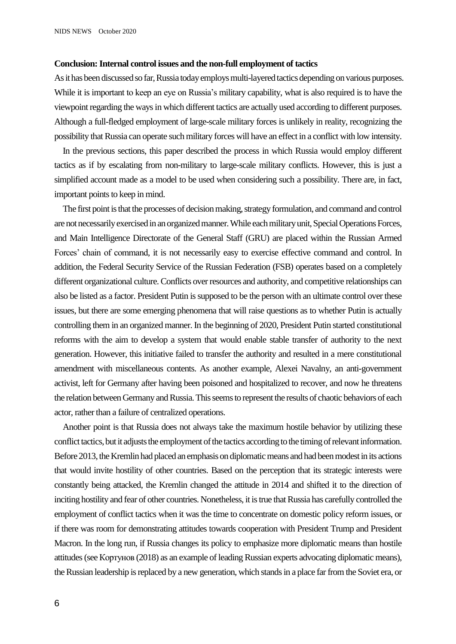#### **Conclusion: Internal control issues and the non-full employment of tactics**

As it has been discussed so far, Russia today employs multi-layered tactics depending on various purposes. While it is important to keep an eye on Russia's military capability, what is also required is to have the viewpoint regarding the ways in which different tactics are actually used according to different purposes. Although a full-fledged employment of large-scale military forces is unlikely in reality, recognizing the possibility that Russia can operate such military forces will have an effect in a conflict with low intensity.

In the previous sections, this paper described the process in which Russia would employ different tactics as if by escalating from non-military to large-scale military conflicts. However, this is just a simplified account made as a model to be used when considering such a possibility. There are, in fact, important points to keep in mind.

The first point is that the processes of decision making, strategy formulation, and command and control are not necessarily exercised in an organized manner.While each military unit, Special Operations Forces, and Main Intelligence Directorate of the General Staff (GRU) are placed within the Russian Armed Forces' chain of command, it is not necessarily easy to exercise effective command and control. In addition, the Federal Security Service of the Russian Federation (FSB) operates based on a completely different organizational culture. Conflicts over resources and authority, and competitive relationships can also be listed as a factor. President Putin is supposed to be the person with an ultimate control over these issues, but there are some emerging phenomena that will raise questions as to whether Putin is actually controlling them in an organized manner. In the beginning of 2020, President Putin started constitutional reforms with the aim to develop a system that would enable stable transfer of authority to the next generation. However, this initiative failed to transfer the authority and resulted in a mere constitutional amendment with miscellaneous contents. As another example, Alexei Navalny, an anti-government activist, left for Germany after having been poisoned and hospitalized to recover, and now he threatens the relation between Germany and Russia.This seems to represent the results of chaotic behaviors of each actor, rather than a failure of centralized operations.

Another point is that Russia does not always take the maximum hostile behavior by utilizing these conflict tactics, but it adjusts the employmentof the tactics according to the timing of relevant information. Before 2013, the Kremlin had placed an emphasis on diplomatic means and had been modest in its actions that would invite hostility of other countries. Based on the perception that its strategic interests were constantly being attacked, the Kremlin changed the attitude in 2014 and shifted it to the direction of inciting hostility and fear of other countries. Nonetheless, it is true that Russia has carefully controlled the employment of conflict tactics when it was the time to concentrate on domestic policy reform issues, or if there was room for demonstrating attitudes towards cooperation with President Trump and President Macron. In the long run, if Russia changes its policy to emphasize more diplomatic means than hostile attitudes(seeКортунов (2018) as an example of leading Russian experts advocating diplomatic means), the Russian leadership is replaced by a new generation, which stands in a place farfrom the Soviet era, or